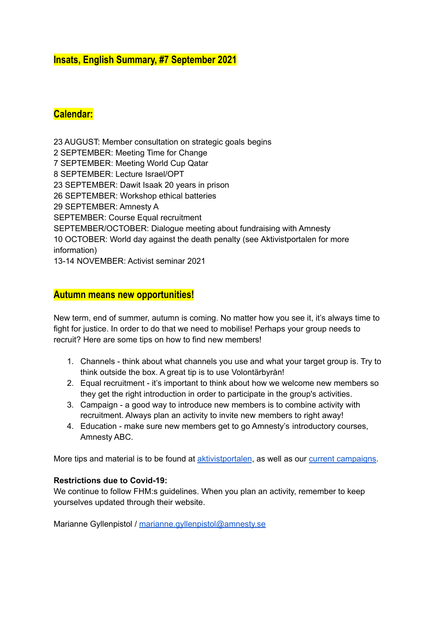# **Insats, English Summary, #7 September 2021**

# **Calendar:**

 AUGUST: Member consultation on strategic goals begins SEPTEMBER: Meeting Time for Change SEPTEMBER: Meeting World Cup Qatar SEPTEMBER: Lecture Israel/OPT SEPTEMBER: Dawit Isaak 20 years in prison SEPTEMBER: Workshop ethical batteries SEPTEMBER: Amnesty A SEPTEMBER: Course Equal recruitment SEPTEMBER/OCTOBER: Dialogue meeting about fundraising with Amnesty OCTOBER: World day against the death penalty (see Aktivistportalen for more information) 13-14 NOVEMBER: Activist seminar 2021

### **Autumn means new opportunities!**

New term, end of summer, autumn is coming. No matter how you see it, it's always time to fight for justice. In order to do that we need to mobilise! Perhaps your group needs to recruit? Here are some tips on how to find new members!

- 1. Channels think about what channels you use and what your target group is. Try to think outside the box. A great tip is to use Volontärbyrån!
- 2. Equal recruitment it's important to think about how we welcome new members so they get the right introduction in order to participate in the group's activities.
- 3. Campaign a good way to introduce new members is to combine activity with recruitment. Always plan an activity to invite new members to right away!
- 4. Education make sure new members get to go Amnesty's introductory courses, Amnesty ABC.

More tips and material is to be found at [aktivistportalen](https://aktivism.amnesty.se/medlemsvarvning/rekrytering/), as well as our current [campaigns](https://aktivism.amnesty.se/delta-i-en-aktion/).

#### **Restrictions due to Covid-19:**

We continue to follow FHM:s guidelines. When you plan an activity, remember to keep yourselves updated through their website.

Marianne Gyllenpistol / [marianne.gyllenpistol@amnesty.se](mailto:marianne.gyllenpistol@amnesty.se)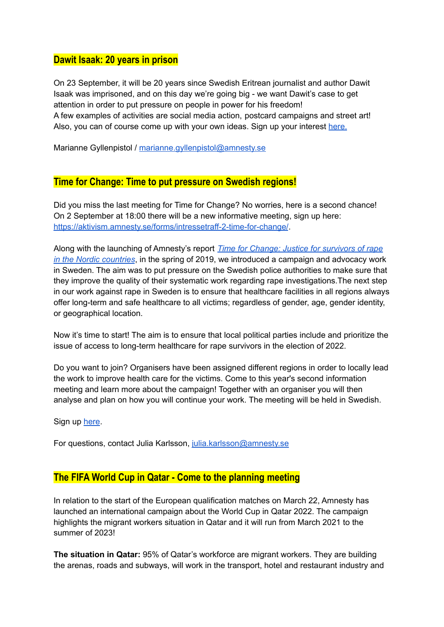### **Dawit Isaak: 20 years in prison**

On 23 September, it will be 20 years since Swedish Eritrean journalist and author Dawit Isaak was imprisoned, and on this day we're going big - we want Dawit's case to get attention in order to put pressure on people in power for his freedom! A few examples of activities are social media action, postcard campaigns and street art! Also, you can of course come up with your own ideas. Sign up your interest [here.](https://aktivism.amnesty.se/forms/intresseanmalan-kampanj-for-dawit-isaak/)

Marianne Gyllenpistol / [marianne.gyllenpistol@amnesty.se](mailto:marianne.gyllenpistol@amnesty.se)

#### **Time for Change: Time to put pressure on Swedish regions!**

Did you miss the last meeting for Time for Change? No worries, here is a second chance! On 2 September at 18:00 there will be a new informative meeting, sign up here: <https://aktivism.amnesty.se/forms/intressetraff-2-time-for-change/>.

Along with the launching of Amnesty's report *Time for Change: Justice for [survivors](https://www.amnesty.se/documents/103/Time_for_change_FINAL.pdf) of rape in the Nordic [countries](https://www.amnesty.se/documents/103/Time_for_change_FINAL.pdf)*, in the spring of 2019, we introduced a campaign and advocacy work in Sweden. The aim was to put pressure on the Swedish police authorities to make sure that they improve the quality of their systematic work regarding rape investigations.The next step in our work against rape in Sweden is to ensure that healthcare facilities in all regions always offer long-term and safe healthcare to all victims; regardless of gender, age, gender identity, or geographical location.

Now it's time to start! The aim is to ensure that local political parties include and prioritize the issue of access to long-term healthcare for rape survivors in the election of 2022.

Do you want to join? Organisers have been assigned different regions in order to locally lead the work to improve health care for the victims. Come to this year's second information meeting and learn more about the campaign! Together with an organiser you will then analyse and plan on how you will continue your work. The meeting will be held in Swedish.

Sign up [here](https://aktivism.amnesty.se/forms/intressetraff-2-time-for-change/).

For questions, contact Julia Karlsson, [julia.karlsson@amnesty.se](mailto:julia.karlsson@amnesty.se)

### **The FIFA World Cup in Qatar - Come to the planning meeting**

In relation to the start of the European qualification matches on March 22, Amnesty has launched an international campaign about the World Cup in Qatar 2022. The campaign highlights the migrant workers situation in Qatar and it will run from March 2021 to the summer of 2023!

**The situation in Qatar:** 95% of Qatar's workforce are migrant workers. They are building the arenas, roads and subways, will work in the transport, hotel and restaurant industry and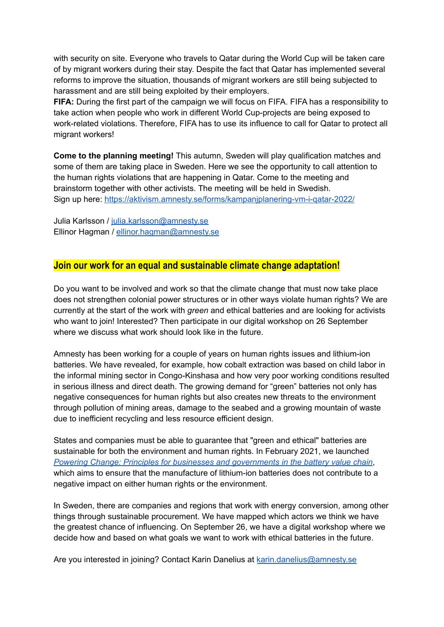with security on site. Everyone who travels to Qatar during the World Cup will be taken care of by migrant workers during their stay. Despite the fact that Qatar has implemented several reforms to improve the situation, thousands of migrant workers are still being subjected to harassment and are still being exploited by their employers.

**FIFA:** During the first part of the campaign we will focus on FIFA. FIFA has a responsibility to take action when people who work in different World Cup-projects are being exposed to work-related violations. Therefore, FIFA has to use its influence to call for Qatar to protect all migrant workers!

**Come to the planning meeting!** This autumn, Sweden will play qualification matches and some of them are taking place in Sweden. Here we see the opportunity to call attention to the human rights violations that are happening in Qatar. Come to the meeting and brainstorm together with other activists. The meeting will be held in Swedish. Sign up here: <https://aktivism.amnesty.se/forms/kampanjplanering-vm-i-qatar-2022/>

Julia Karlsson / [julia.karlsson@amnesty.se](mailto:julia.karlsson@amnesty.se) Ellinor Hagman / [ellinor.hagman@amnesty.se](mailto:ellinor.hagman@amnesty.se)

### **Join our work for an equal and sustainable climate change adaptation!**

Do you want to be involved and work so that the climate change that must now take place does not strengthen colonial power structures or in other ways violate human rights? We are currently at the start of the work with *green* and ethical batteries and are looking for activists who want to join! Interested? Then participate in our digital workshop on 26 September where we discuss what work should look like in the future.

Amnesty has been working for a couple of years on human rights issues and lithium-ion batteries. We have revealed, for example, how cobalt extraction was based on child labor in the informal mining sector in Congo-Kinshasa and how very poor working conditions resulted in serious illness and direct death. The growing demand for "green" batteries not only has negative consequences for human rights but also creates new threats to the environment through pollution of mining areas, damage to the seabed and a growing mountain of waste due to inefficient recycling and less resource efficient design.

States and companies must be able to guarantee that "green and ethical" batteries are sustainable for both the environment and human rights. In February 2021, we launched *Powering Change: Principles for businesses and [governments](https://www.amnesty.se/vara-rattighetsfragor/foretagsansvar/hallbara-litiumjonbatterier/powering-change-principer-foretag-och-stater-angaende-batterivardekedjan/powering-change-principer-foretag-och-stater-angaende-batterivardekedjan/) in the battery value chain*, which aims to ensure that the manufacture of lithium-ion batteries does not contribute to a negative impact on either human rights or the environment.

In Sweden, there are companies and regions that work with energy conversion, among other things through sustainable procurement. We have mapped which actors we think we have the greatest chance of influencing. On September 26, we have a digital workshop where we decide how and based on what goals we want to work with ethical batteries in the future.

Are you interested in joining? Contact Karin Danelius at [karin.danelius@amnesty.se](mailto:karin.danelius@amnesty.se)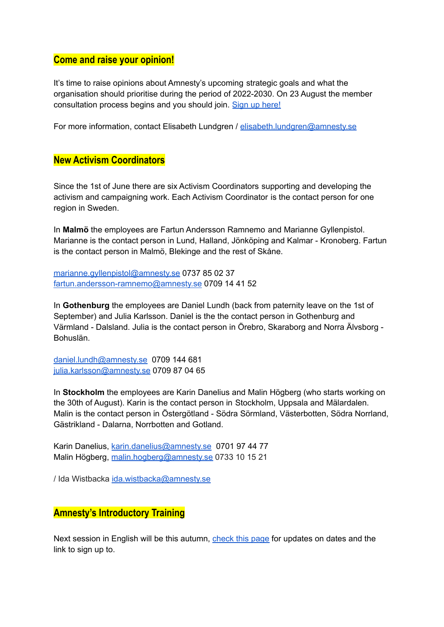### **Come and raise your opinion!**

It's time to raise opinions about Amnesty's upcoming strategic goals and what the organisation should prioritise during the period of 2022-2030. On 23 August the member consultation process begins and you should join. Sign up [here!](https://aktivism.amnesty.se/forms/var-med-och-paverka-amnesty-sveriges-nya-verksamhe/)

For more information, contact Elisabeth Lundgren / [elisabeth.lundgren@amnesty.se](mailto:elisabeth.lundgren@amnesty.se)

### **New Activism Coordinators**

Since the 1st of June there are six Activism Coordinators supporting and developing the activism and campaigning work. Each Activism Coordinator is the contact person for one region in Sweden.

In **Malmö** the employees are Fartun Andersson Ramnemo and Marianne Gyllenpistol. Marianne is the contact person in Lund, Halland, Jönköping and Kalmar - Kronoberg. Fartun is the contact person in Malmö, Blekinge and the rest of Skåne.

[marianne.gyllenpistol@amnesty.se](mailto:marianne.gyllenpistol@amnesty.se) 0737 85 02 37 [fartun.andersson-ramnemo@amnesty.se](mailto:fartun.andersson-ramnemo@amnesty.se) 0709 14 41 52

In **Gothenburg** the employees are Daniel Lundh (back from paternity leave on the 1st of September) and Julia Karlsson. Daniel is the the contact person in Gothenburg and Värmland - Dalsland. Julia is the contact person in Örebro, Skaraborg and Norra Älvsborg - Bohuslän.

[daniel.lundh@amnesty.se](mailto:daniel.lundh@amnesty.se) 0709 144 681 [julia.karlsson@amnesty.se](mailto:julia.karlsson@amnesty.se) 0709 87 04 65

In **Stockholm** the employees are Karin Danelius and Malin Högberg (who starts working on the 30th of August). Karin is the contact person in Stockholm, Uppsala and Mälardalen. Malin is the contact person in Östergötland - Södra Sörmland, Västerbotten, Södra Norrland, Gästrikland - Dalarna, Norrbotten and Gotland.

Karin Danelius, [karin.danelius@amnesty.se](mailto:karin.danelius@amnesty.se) 0701 97 44 77 Malin Högberg, [malin.hogberg@amnesty.se](mailto:malin.hogberg@amnesty.se) 0733 10 15 21

/ Ida Wistbacka [ida.wistbacka@amnesty.se](mailto:ida.wistbacka@amnesty.se)

### **Amnesty's Introductory Training**

Next session in English will be this autumn, [check](https://aktivism.amnesty.se/utbildningar-och-moten/amnesty-abc/) this page for updates on dates and the link to sign up to.